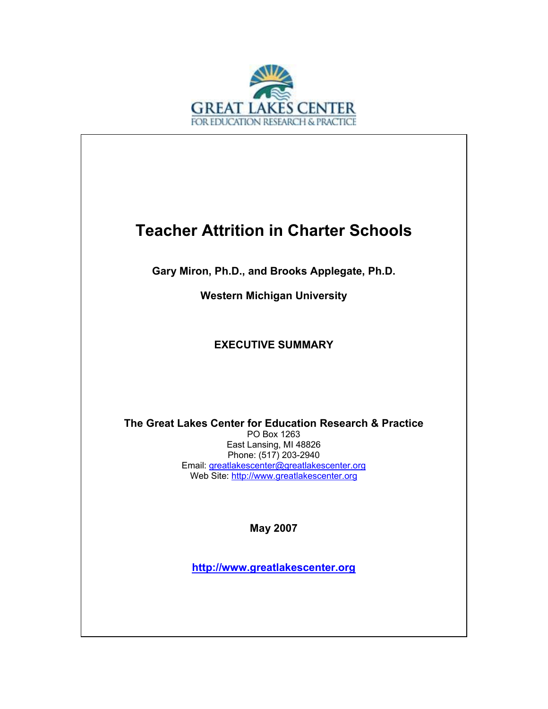

## **Teacher Attrition in Charter Schools**

**Gary Miron, Ph.D., and Brooks Applegate, Ph.D.** 

**Western Michigan University** 

## **EXECUTIVE SUMMARY**

**The Great Lakes Center for Education Research & Practice**  PO Box 1263 East Lansing, MI 48826 Phone: (517) 203-2940 Email: greatlakescenter@greatlakescenter.org Web Site: http://www.greatlakescenter.org

**May 2007** 

**http://www.greatlakescenter.org**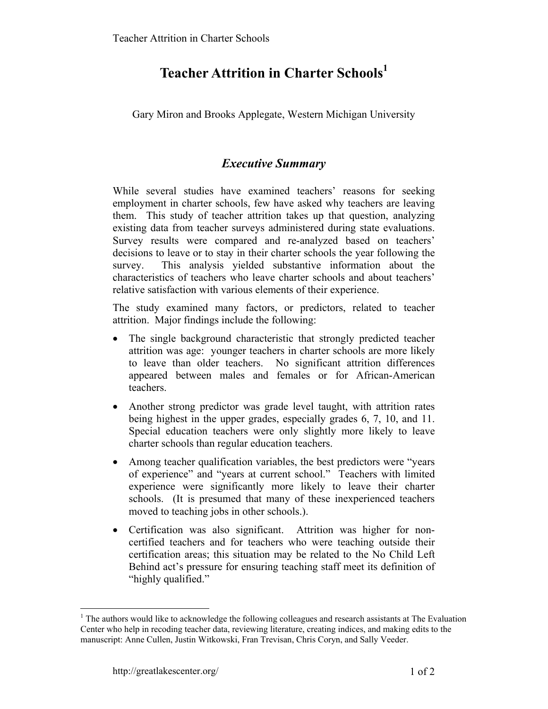## **Teacher Attrition in Charter Schools<sup>1</sup>**

Gary Miron and Brooks Applegate, Western Michigan University

## *Executive Summary*

While several studies have examined teachers' reasons for seeking employment in charter schools, few have asked why teachers are leaving them. This study of teacher attrition takes up that question, analyzing existing data from teacher surveys administered during state evaluations. Survey results were compared and re-analyzed based on teachers' decisions to leave or to stay in their charter schools the year following the survey. This analysis yielded substantive information about the characteristics of teachers who leave charter schools and about teachers' relative satisfaction with various elements of their experience.

The study examined many factors, or predictors, related to teacher attrition. Major findings include the following:

- The single background characteristic that strongly predicted teacher attrition was age: younger teachers in charter schools are more likely to leave than older teachers. No significant attrition differences appeared between males and females or for African-American teachers.
- Another strong predictor was grade level taught, with attrition rates being highest in the upper grades, especially grades 6, 7, 10, and 11. Special education teachers were only slightly more likely to leave charter schools than regular education teachers.
- Among teacher qualification variables, the best predictors were "years" of experience" and "years at current school." Teachers with limited experience were significantly more likely to leave their charter schools. (It is presumed that many of these inexperienced teachers moved to teaching jobs in other schools.).
- Certification was also significant. Attrition was higher for noncertified teachers and for teachers who were teaching outside their certification areas; this situation may be related to the No Child Left Behind act's pressure for ensuring teaching staff meet its definition of "highly qualified."

 $\overline{a}$ 

<sup>&</sup>lt;sup>1</sup> The authors would like to acknowledge the following colleagues and research assistants at The Evaluation Center who help in recoding teacher data, reviewing literature, creating indices, and making edits to the manuscript: Anne Cullen, Justin Witkowski, Fran Trevisan, Chris Coryn, and Sally Veeder.